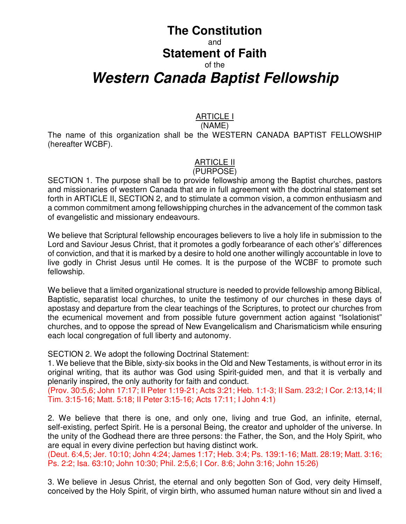# **The Constitution**  and **Statement of Faith**  of the **Western Canada Baptist Fellowship**

# ARTICLE I

(NAME) The name of this organization shall be the WESTERN CANADA BAPTIST FELLOWSHIP (hereafter WCBF).

# ARTICLE II

#### (PURPOSE)

SECTION 1. The purpose shall be to provide fellowship among the Baptist churches, pastors and missionaries of western Canada that are in full agreement with the doctrinal statement set forth in ARTICLE II, SECTION 2, and to stimulate a common vision, a common enthusiasm and a common commitment among fellowshipping churches in the advancement of the common task of evangelistic and missionary endeavours.

We believe that Scriptural fellowship encourages believers to live a holy life in submission to the Lord and Saviour Jesus Christ, that it promotes a godly forbearance of each other's' differences of conviction, and that it is marked by a desire to hold one another willingly accountable in love to live godly in Christ Jesus until He comes. It is the purpose of the WCBF to promote such fellowship.

We believe that a limited organizational structure is needed to provide fellowship among Biblical, Baptistic, separatist local churches, to unite the testimony of our churches in these days of apostasy and departure from the clear teachings of the Scriptures, to protect our churches from the ecumenical movement and from possible future government action against "Isolationist" churches, and to oppose the spread of New Evangelicalism and Charismaticism while ensuring each local congregation of full liberty and autonomy.

SECTION 2. We adopt the following Doctrinal Statement:

1. We believe that the Bible, sixty-six books in the Old and New Testaments, is without error in its original writing, that its author was God using Spirit-guided men, and that it is verbally and plenarily inspired, the only authority for faith and conduct.

(Prov. 30:5,6; John 17:17; II Peter 1:19-21; Acts 3:21; Heb. 1:1-3; II Sam. 23:2; I Cor. 2:13,14; II Tim. 3:15-16; Matt. 5:18; II Peter 3:15-16; Acts 17:11; I John 4:1)

2. We believe that there is one, and only one, living and true God, an infinite, eternal, self-existing, perfect Spirit. He is a personal Being, the creator and upholder of the universe. In the unity of the Godhead there are three persons: the Father, the Son, and the Holy Spirit, who are equal in every divine perfection but having distinct work.

(Deut. 6:4,5; Jer. 10:10; John 4:24; James 1:17; Heb. 3:4; Ps. 139:1-16; Matt. 28:19; Matt. 3:16; Ps. 2:2; Isa. 63:10; John 10:30; Phil. 2:5,6; I Cor. 8:6; John 3:16; John 15:26)

3. We believe in Jesus Christ, the eternal and only begotten Son of God, very deity Himself, conceived by the Holy Spirit, of virgin birth, who assumed human nature without sin and lived a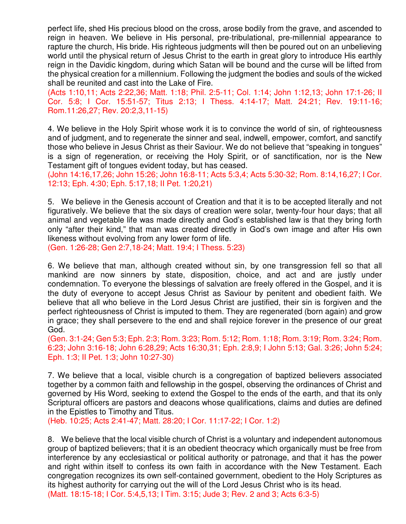perfect life, shed His precious blood on the cross, arose bodily from the grave, and ascended to reign in heaven. We believe in His personal, pre-tribulational, pre-millennial appearance to rapture the church, His bride. His righteous judgments will then be poured out on an unbelieving world until the physical return of Jesus Christ to the earth in great glory to introduce His earthly reign in the Davidic kingdom, during which Satan will be bound and the curse will be lifted from the physical creation for a millennium. Following the judgment the bodies and souls of the wicked shall be reunited and cast into the Lake of Fire.

(Acts 1:10,11; Acts 2:22,36; Matt. 1:18; Phil. 2:5-11; Col. 1:14; John 1:12,13; John 17:1-26; II Cor. 5:8; I Cor. 15:51-57; Titus 2:13; I Thess. 4:14-17; Matt. 24:21; Rev. 19:11-16; Rom.11:26,27; Rev. 20:2,3,11-15)

4. We believe in the Holy Spirit whose work it is to convince the world of sin, of righteousness and of judgment, and to regenerate the sinner and seal, indwell, empower, comfort, and sanctify those who believe in Jesus Christ as their Saviour. We do not believe that "speaking in tongues" is a sign of regeneration, or receiving the Holy Spirit, or of sanctification, nor is the New Testament gift of tongues evident today, but has ceased.

(John 14:16,17,26; John 15:26; John 16:8-11; Acts 5:3,4; Acts 5:30-32; Rom. 8:14,16,27; I Cor. 12:13; Eph. 4:30; Eph. 5:17,18; II Pet. 1:20,21)

5. We believe in the Genesis account of Creation and that it is to be accepted literally and not figuratively. We believe that the six days of creation were solar, twenty-four hour days; that all animal and vegetable life was made directly and God's established law is that they bring forth only "after their kind," that man was created directly in God's own image and after His own likeness without evolving from any lower form of life.

(Gen. 1:26-28; Gen 2:7,18-24; Matt. 19:4; I Thess. 5:23)

6. We believe that man, although created without sin, by one transgression fell so that all mankind are now sinners by state, disposition, choice, and act and are justly under condemnation. To everyone the blessings of salvation are freely offered in the Gospel, and it is the duty of everyone to accept Jesus Christ as Saviour by penitent and obedient faith. We believe that all who believe in the Lord Jesus Christ are justified, their sin is forgiven and the perfect righteousness of Christ is imputed to them. They are regenerated (born again) and grow in grace; they shall persevere to the end and shall rejoice forever in the presence of our great God.

(Gen. 3:1-24; Gen 5:3; Eph. 2:3; Rom. 3:23; Rom. 5:12; Rom. 1:18; Rom. 3:19; Rom. 3:24; Rom. 6:23; John 3:16-18; John 6:28,29; Acts 16:30,31; Eph. 2:8,9; I John 5:13; Gal. 3:26; John 5:24; Eph. 1:3; II Pet. 1:3; John 10:27-30)

7. We believe that a local, visible church is a congregation of baptized believers associated together by a common faith and fellowship in the gospel, observing the ordinances of Christ and governed by His Word, seeking to extend the Gospel to the ends of the earth, and that its only Scriptural officers are pastors and deacons whose qualifications, claims and duties are defined in the Epistles to Timothy and Titus.

(Heb. 10:25; Acts 2:41-47; Matt. 28:20; I Cor. 11:17-22; I Cor. 1:2)

8. We believe that the local visible church of Christ is a voluntary and independent autonomous group of baptized believers; that it is an obedient theocracy which organically must be free from interference by any ecclesiastical or political authority or patronage, and that it has the power and right within itself to confess its own faith in accordance with the New Testament. Each congregation recognizes its own self-contained government, obedient to the Holy Scriptures as its highest authority for carrying out the will of the Lord Jesus Christ who is its head. (Matt. 18:15-18; I Cor. 5:4,5,13; I Tim. 3:15; Jude 3; Rev. 2 and 3; Acts 6:3-5)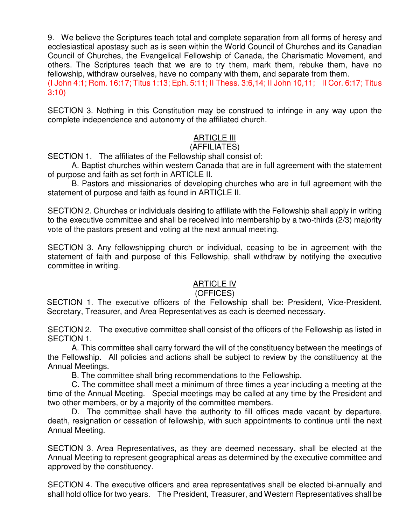9. We believe the Scriptures teach total and complete separation from all forms of heresy and ecclesiastical apostasy such as is seen within the World Council of Churches and its Canadian Council of Churches, the Evangelical Fellowship of Canada, the Charismatic Movement, and others. The Scriptures teach that we are to try them, mark them, rebuke them, have no fellowship, withdraw ourselves, have no company with them, and separate from them.

(I John 4:1; Rom. 16:17; Titus 1:13; Eph. 5:11; II Thess. 3:6,14; II John 10,11; II Cor. 6:17; Titus 3:10)

SECTION 3. Nothing in this Constitution may be construed to infringe in any way upon the complete independence and autonomy of the affiliated church.

# ARTICLE III

### (AFFILIATES)

SECTION 1. The affiliates of the Fellowship shall consist of:

A. Baptist churches within western Canada that are in full agreement with the statement of purpose and faith as set forth in ARTICLE II.

B. Pastors and missionaries of developing churches who are in full agreement with the statement of purpose and faith as found in ARTICLE II.

SECTION 2. Churches or individuals desiring to affiliate with the Fellowship shall apply in writing to the executive committee and shall be received into membership by a two-thirds (2/3) majority vote of the pastors present and voting at the next annual meeting.

SECTION 3. Any fellowshipping church or individual, ceasing to be in agreement with the statement of faith and purpose of this Fellowship, shall withdraw by notifying the executive committee in writing.

## ARTICLE IV

#### (OFFICES)

SECTION 1. The executive officers of the Fellowship shall be: President, Vice-President, Secretary, Treasurer, and Area Representatives as each is deemed necessary.

SECTION 2. The executive committee shall consist of the officers of the Fellowship as listed in SECTION 1.

A. This committee shall carry forward the will of the constituency between the meetings of the Fellowship. All policies and actions shall be subject to review by the constituency at the Annual Meetings.

B. The committee shall bring recommendations to the Fellowship.

C. The committee shall meet a minimum of three times a year including a meeting at the time of the Annual Meeting. Special meetings may be called at any time by the President and two other members, or by a majority of the committee members.

D. The committee shall have the authority to fill offices made vacant by departure, death, resignation or cessation of fellowship, with such appointments to continue until the next Annual Meeting.

SECTION 3. Area Representatives, as they are deemed necessary, shall be elected at the Annual Meeting to represent geographical areas as determined by the executive committee and approved by the constituency.

SECTION 4. The executive officers and area representatives shall be elected bi-annually and shall hold office for two years. The President, Treasurer, and Western Representatives shall be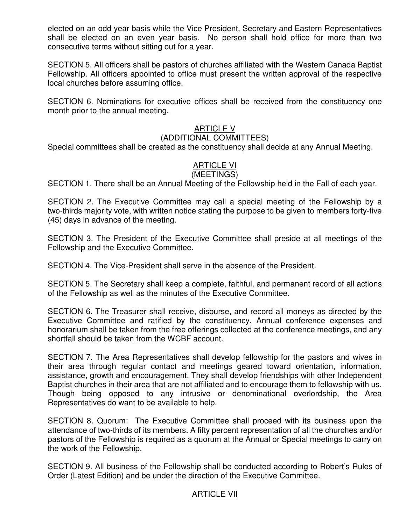elected on an odd year basis while the Vice President, Secretary and Eastern Representatives shall be elected on an even year basis. No person shall hold office for more than two consecutive terms without sitting out for a year.

SECTION 5. All officers shall be pastors of churches affiliated with the Western Canada Baptist Fellowship. All officers appointed to office must present the written approval of the respective local churches before assuming office.

SECTION 6. Nominations for executive offices shall be received from the constituency one month prior to the annual meeting.

### ARTICLE V

#### (ADDITIONAL COMMITTEES)

Special committees shall be created as the constituency shall decide at any Annual Meeting.

## ARTICLE VI

#### (MEETINGS)

SECTION 1. There shall be an Annual Meeting of the Fellowship held in the Fall of each year.

SECTION 2. The Executive Committee may call a special meeting of the Fellowship by a two-thirds majority vote, with written notice stating the purpose to be given to members forty-five (45) days in advance of the meeting.

SECTION 3. The President of the Executive Committee shall preside at all meetings of the Fellowship and the Executive Committee.

SECTION 4. The Vice-President shall serve in the absence of the President.

SECTION 5. The Secretary shall keep a complete, faithful, and permanent record of all actions of the Fellowship as well as the minutes of the Executive Committee.

SECTION 6. The Treasurer shall receive, disburse, and record all moneys as directed by the Executive Committee and ratified by the constituency. Annual conference expenses and honorarium shall be taken from the free offerings collected at the conference meetings, and any shortfall should be taken from the WCBF account.

SECTION 7. The Area Representatives shall develop fellowship for the pastors and wives in their area through regular contact and meetings geared toward orientation, information, assistance, growth and encouragement. They shall develop friendships with other Independent Baptist churches in their area that are not affiliated and to encourage them to fellowship with us. Though being opposed to any intrusive or denominational overlordship, the Area Representatives do want to be available to help.

SECTION 8. Quorum: The Executive Committee shall proceed with its business upon the attendance of two-thirds of its members. A fifty percent representation of all the churches and/or pastors of the Fellowship is required as a quorum at the Annual or Special meetings to carry on the work of the Fellowship.

SECTION 9. All business of the Fellowship shall be conducted according to Robert's Rules of Order (Latest Edition) and be under the direction of the Executive Committee.

#### ARTICLE VII